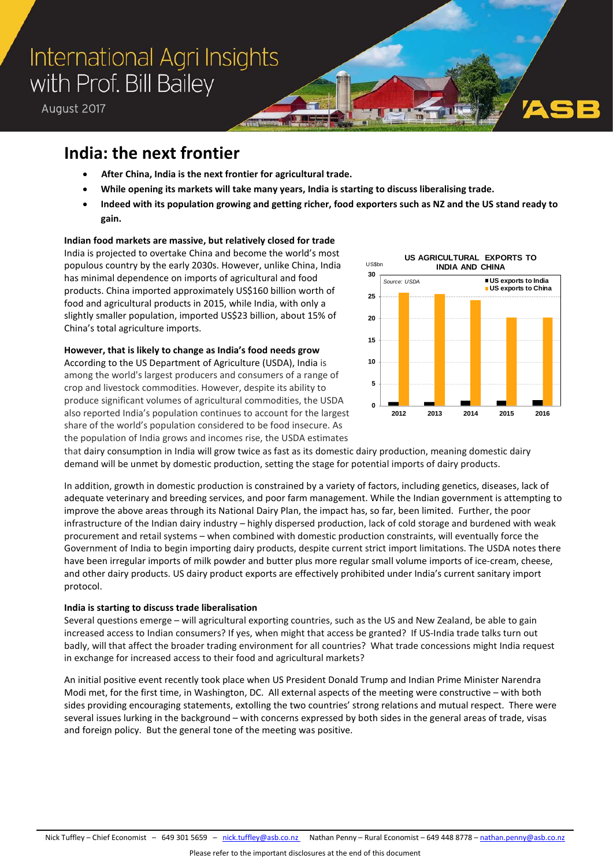# International Agri Insights with Prof. Bill Bailey

August 2017

### **India: the next frontier**

- **After China, India is the next frontier for agricultural trade.**
- **While opening its markets will take many years, India is starting to discuss liberalising trade.**
- **Indeed with its population growing and getting richer, food exporters such as NZ and the US stand ready to gain.**

### **Indian food markets are massive, but relatively closed for trade**

India is projected to overtake China and become the world's most populous country by the early 2030s. However, unlike China, India has minimal dependence on imports of agricultural and food products. China imported approximately US\$160 billion worth of food and agricultural products in 2015, while India, with only a slightly smaller population, imported US\$23 billion, about 15% of China's total agriculture imports.

**However, that is likely to change as India's food needs grow** According to the US Department of Agriculture (USDA), India is among the world's largest producers and consumers of a range of crop and livestock commodities. However, despite its ability to produce significant volumes of agricultural commodities, the USDA also reported India's population continues to account for the largest share of the world's population considered to be food insecure. As the population of India grows and incomes rise, the USDA estimates



that dairy consumption in India will grow twice as fast as its domestic dairy production, meaning domestic dairy demand will be unmet by domestic production, setting the stage for potential imports of dairy products.

In addition, growth in domestic production is constrained by a variety of factors, including genetics, diseases, lack of adequate veterinary and breeding services, and poor farm management. While the Indian government is attempting to improve the above areas through its National Dairy Plan, the impact has, so far, been limited. Further, the poor infrastructure of the Indian dairy industry – highly dispersed production, lack of cold storage and burdened with weak procurement and retail systems – when combined with domestic production constraints, will eventually force the Government of India to begin importing dairy products, despite current strict import limitations. The USDA notes there have been irregular imports of milk powder and butter plus more regular small volume imports of ice-cream, cheese, and other dairy products. US dairy product exports are effectively prohibited under India's current sanitary import protocol.

### **India is starting to discuss trade liberalisation**

Several questions emerge – will agricultural exporting countries, such as the US and New Zealand, be able to gain increased access to Indian consumers? If yes, when might that access be granted? If US-India trade talks turn out badly, will that affect the broader trading environment for all countries? What trade concessions might India request in exchange for increased access to their food and agricultural markets?

An initial positive event recently took place when US President Donald Trump and Indian Prime Minister Narendra Modi met, for the first time, in Washington, DC. All external aspects of the meeting were constructive – with both sides providing encouraging statements, extolling the two countries' strong relations and mutual respect. There were several issues lurking in the background – with concerns expressed by both sides in the general areas of trade, visas and foreign policy. But the general tone of the meeting was positive.

Nick Tuffley - Chief Economist - 649 301 5659 - [nick.tuffley@asb.co.nz](mailto:nick.tuffley@asb.co.nz) Nathan Penny - Rural Economist - 649 448 8778 - [nathan.penny@asb.co.nz](mailto:nathan.penny@asb.co.nz)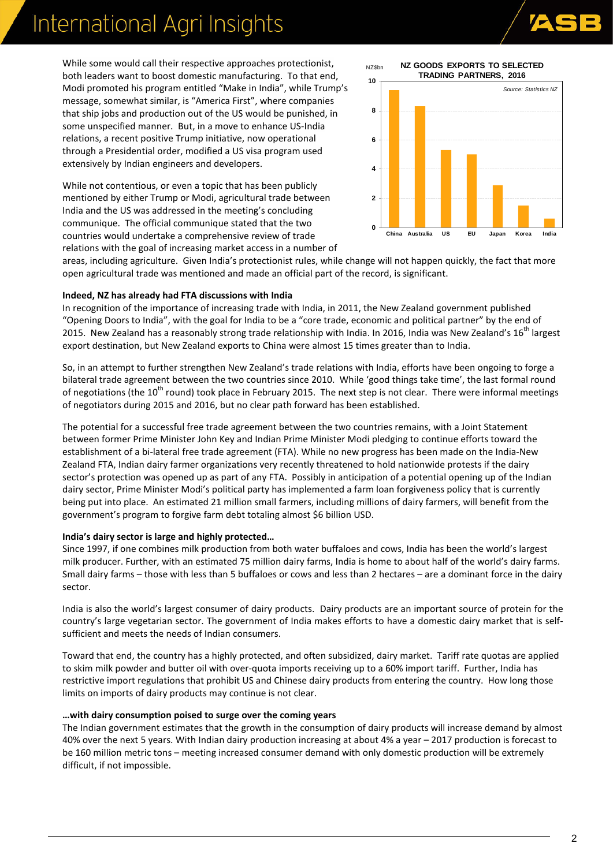# International Agri Insights



While some would call their respective approaches protectionist, both leaders want to boost domestic manufacturing. To that end, Modi promoted his program entitled "Make in India", while Trump's message, somewhat similar, is "America First", where companies that ship jobs and production out of the US would be punished, in some unspecified manner. But, in a move to enhance US-India relations, a recent positive Trump initiative, now operational through a Presidential order, modified a US visa program used extensively by Indian engineers and developers.

While not contentious, or even a topic that has been publicly mentioned by either Trump or Modi, agricultural trade between India and the US was addressed in the meeting's concluding communique. The official communique stated that the two countries would undertake a comprehensive review of trade relations with the goal of increasing market access in a number of



areas, including agriculture. Given India's protectionist rules, while change will not happen quickly, the fact that more open agricultural trade was mentioned and made an official part of the record, is significant.

#### **Indeed, NZ has already had FTA discussions with India**

In recognition of the importance of increasing trade with India, in 2011, the New Zealand government published "Opening Doors to India", with the goal for India to be a "core trade, economic and political partner" by the end of 2015. New Zealand has a reasonably strong trade relationship with India. In 2016, India was New Zealand's 16<sup>th</sup> largest export destination, but New Zealand exports to China were almost 15 times greater than to India.

So, in an attempt to further strengthen New Zealand's trade relations with India, efforts have been ongoing to forge a bilateral trade agreement between the two countries since 2010. While 'good things take time', the last formal round of negotiations (the 10<sup>th</sup> round) took place in February 2015. The next step is not clear. There were informal meetings of negotiators during 2015 and 2016, but no clear path forward has been established.

The potential for a successful free trade agreement between the two countries remains, with a Joint Statement between former Prime Minister John Key and Indian Prime Minister Modi pledging to continue efforts toward the establishment of a bi-lateral free trade agreement (FTA). While no new progress has been made on the India-New Zealand FTA, Indian dairy farmer organizations very recently threatened to hold nationwide protests if the dairy sector's protection was opened up as part of any FTA. Possibly in anticipation of a potential opening up of the Indian dairy sector, Prime Minister Modi's political party has implemented a farm loan forgiveness policy that is currently being put into place. An estimated 21 million small farmers, including millions of dairy farmers, will benefit from the government's program to forgive farm debt totaling almost \$6 billion USD.

#### **India's dairy sector is large and highly protected…**

Since 1997, if one combines milk production from both water buffaloes and cows, India has been the world's largest milk producer. Further, with an estimated 75 million dairy farms, India is home to about half of the world's dairy farms. Small dairy farms – those with less than 5 buffaloes or cows and less than 2 hectares – are a dominant force in the dairy sector.

India is also the world's largest consumer of dairy products. Dairy products are an important source of protein for the country's large vegetarian sector. The government of India makes efforts to have a domestic dairy market that is selfsufficient and meets the needs of Indian consumers.

Toward that end, the country has a highly protected, and often subsidized, dairy market. Tariff rate quotas are applied to skim milk powder and butter oil with over-quota imports receiving up to a 60% import tariff. Further, India has restrictive import regulations that prohibit US and Chinese dairy products from entering the country. How long those limits on imports of dairy products may continue is not clear.

#### **…with dairy consumption poised to surge over the coming years**

The Indian government estimates that the growth in the consumption of dairy products will increase demand by almost 40% over the next 5 years. With Indian dairy production increasing at about 4% a year – 2017 production is forecast to be 160 million metric tons – meeting increased consumer demand with only domestic production will be extremely difficult, if not impossible.